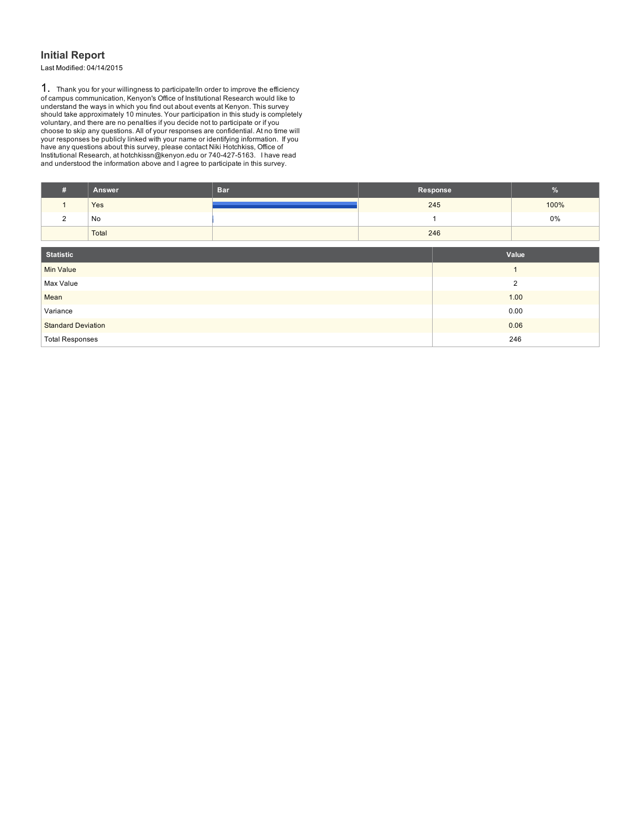### **Initial Report**

Last Modified: 04/14/2015

1. Thank you for your willingness to participate!In order to improve the efficiency<br>of campus communication, Kenyon's Office of Institutional Research would like to<br>understand the ways in which you find out about events at

| #                         | Answer | <b>Bar</b> |  | Response | %     |  |
|---------------------------|--------|------------|--|----------|-------|--|
| $\mathbf{1}$              | Yes    |            |  | 245      | 100%  |  |
| $\overline{2}$            | No     |            |  |          | 0%    |  |
|                           | Total  |            |  | 246      |       |  |
|                           |        |            |  |          |       |  |
| <b>Statistic</b>          |        |            |  |          | Value |  |
| <b>Min Value</b>          |        |            |  |          |       |  |
| Max Value                 |        |            |  |          | 2     |  |
| Mean                      |        |            |  |          | 1.00  |  |
| Variance                  |        |            |  | 0.00     |       |  |
| <b>Standard Deviation</b> |        |            |  |          | 0.06  |  |
| <b>Total Responses</b>    |        |            |  |          | 246   |  |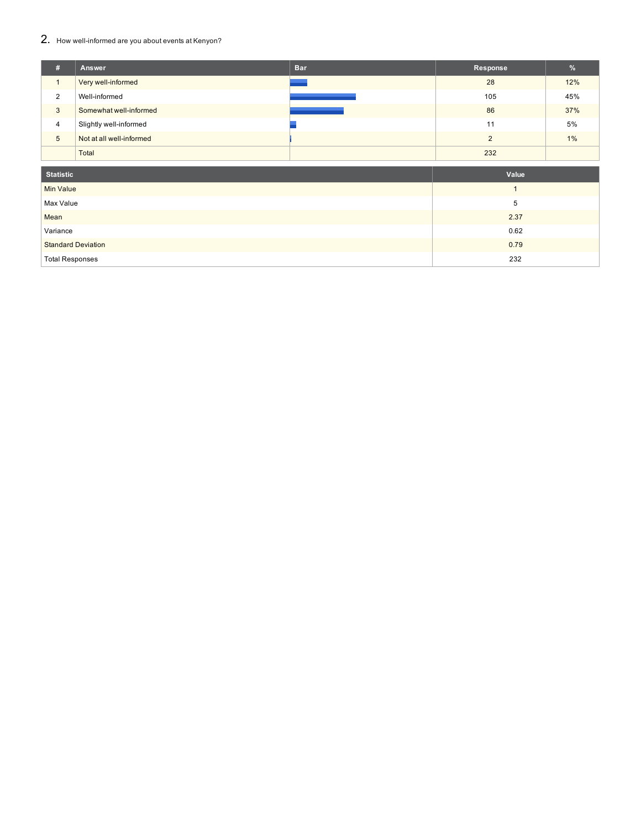## 2. How well-informed are you about events at Kenyon?

| # | Answer                   | <b>Bar</b>             | Response | %   |
|---|--------------------------|------------------------|----------|-----|
|   | Very well-informed       |                        | 28       | 12% |
| 2 | Well-informed            |                        | 105      | 45% |
| 3 | Somewhat well-informed   | <b>Service Service</b> | 86       | 37% |
| 4 | Slightly well-informed   |                        | 11       | 5%  |
| 5 | Not at all well-informed |                        | $\Omega$ | 1%  |
|   | Total                    |                        | 232      |     |

| <b>Statistic</b>          | Value |
|---------------------------|-------|
| <b>Min Value</b>          |       |
| Max Value                 | 5     |
| Mean                      | 2.37  |
| Variance                  | 0.62  |
| <b>Standard Deviation</b> | 0.79  |
| <b>Total Responses</b>    | 232   |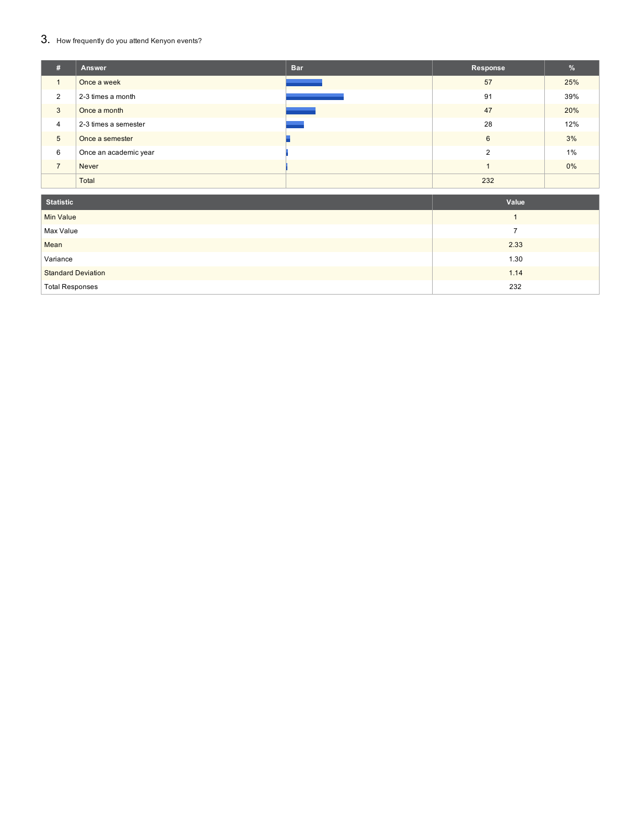## 3. How frequently do you attend Kenyon events?

| 【#】            | Answer                | <b>Bar</b> | Response | $\frac{1}{2}$ |
|----------------|-----------------------|------------|----------|---------------|
|                | Once a week           |            | 57       | 25%           |
| 2              | 2-3 times a month     |            | 91       | 39%           |
| 3              | Once a month          |            | 47       | 20%           |
| $\overline{4}$ | 2-3 times a semester  |            | 28       | 12%           |
| 5              | Once a semester       |            | 6        | 3%            |
| 6              | Once an academic year |            | C        | 1%            |
| $\overline{ }$ | <b>Never</b>          |            |          | $0\%$         |
|                | Total                 |            | 232      |               |

| <b>Statistic</b>          | Value |
|---------------------------|-------|
| <b>Min Value</b>          |       |
| Max Value                 |       |
| Mean                      | 2.33  |
| Variance                  | 1.30  |
| <b>Standard Deviation</b> | 1.14  |
| <b>Total Responses</b>    | 232   |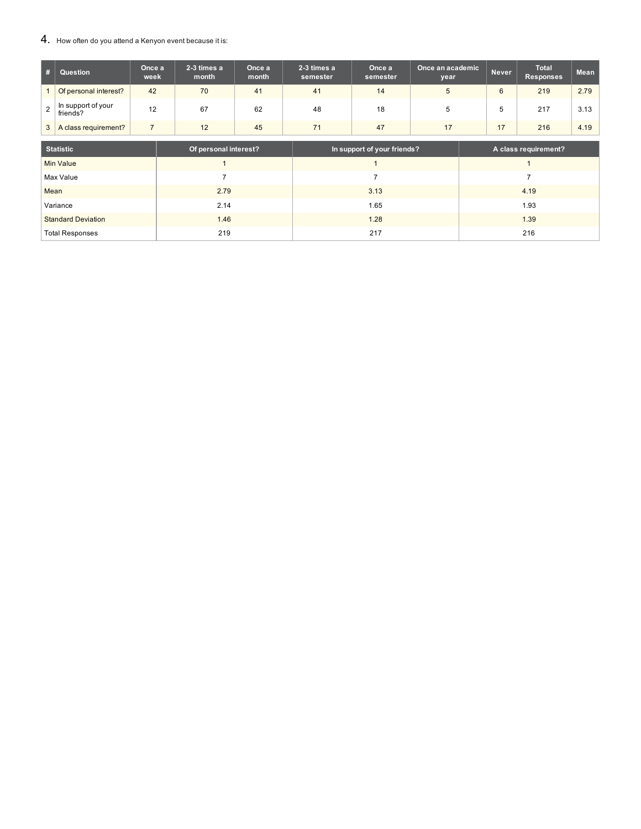#### 4. How often do you attend a Kenyon event because it is:

| # | Question                       | Once a<br>week | 2-3 times a<br>month | Once a<br>month | 2-3 times a<br>semester | Once a<br>semester | Once an academic<br>year | Never | Total<br><b>Responses</b> | <b>Mean</b> |
|---|--------------------------------|----------------|----------------------|-----------------|-------------------------|--------------------|--------------------------|-------|---------------------------|-------------|
|   | Of personal interest?          | 42             | 70                   | 41              | 41                      | 14                 |                          | 6     | 219                       | 2.79        |
|   | In support of your<br>friends? | 12             | 67                   | 62              | 48                      | 18                 |                          |       | 217                       | 3.13        |
|   | A class requirement?           |                | 12                   | 45              | 71                      | 47                 | 17                       |       | 216                       | 4.19        |

| <b>Statistic</b>          | Of personal interest? | In support of your friends? | A class requirement? |
|---------------------------|-----------------------|-----------------------------|----------------------|
| Min Value                 |                       |                             |                      |
| Max Value                 |                       |                             |                      |
| Mean                      | 2.79                  | 3.13                        | 4.19                 |
| Variance                  | 2.14                  | 1.65                        | 1.93                 |
| <b>Standard Deviation</b> | 1.46                  | 1.28                        | 1.39                 |
| <b>Total Responses</b>    | 219                   | 217                         | 216                  |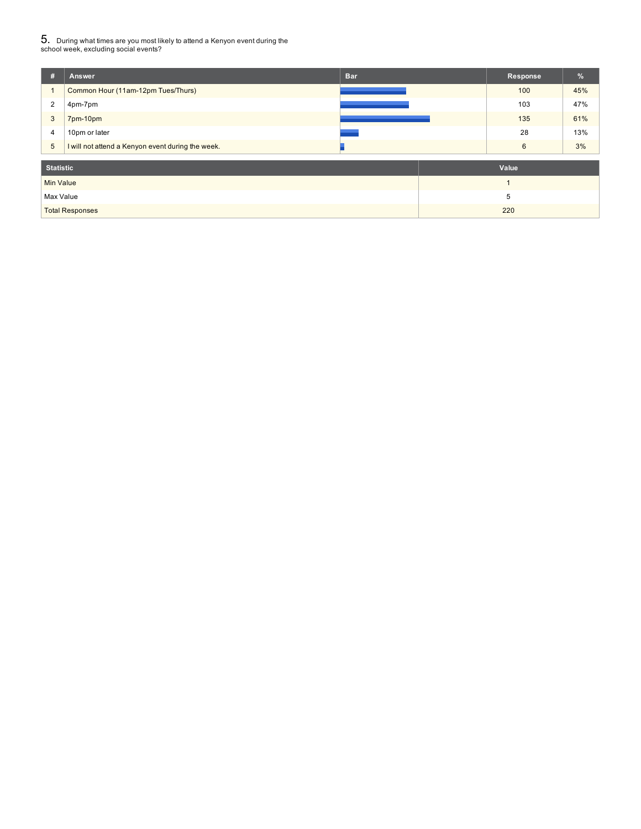# $5_\cdot$  During what times are you most likely to attend a Kenyon event during the<br>school week, excluding social events?

| #                | Answer                                            | <b>Bar</b> | Response | $\frac{9}{6}$ |
|------------------|---------------------------------------------------|------------|----------|---------------|
| 1                | Common Hour (11am-12pm Tues/Thurs)                |            | 100      | 45%           |
| 2                | 4pm-7pm                                           |            | 103      | 47%           |
| 3                | 7pm-10pm                                          |            | 135      | 61%           |
| 4                | 10pm or later                                     |            | 28       | 13%           |
| $5\phantom{.0}$  | I will not attend a Kenyon event during the week. |            | 6        | 3%            |
| <b>Statistic</b> |                                                   |            | Value    |               |
| <b>Min Value</b> |                                                   |            |          |               |
| Max Value        |                                                   |            | 5        |               |
|                  | <b>Total Responses</b>                            |            | 220      |               |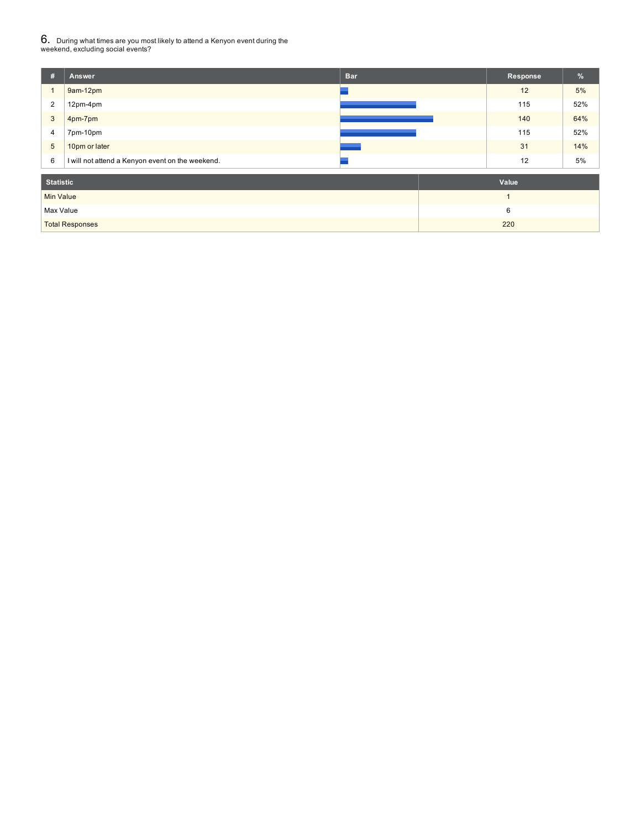# $6$ . During what times are you most likely to attend a Kenyon event during the<br>weekend, excluding social events?

| #                | Answer                                           | <b>Bar</b> | Response       | %   |
|------------------|--------------------------------------------------|------------|----------------|-----|
| $\mathbf{1}$     | 9am-12pm                                         |            | 12             | 5%  |
| $\overline{2}$   | 12pm-4pm                                         |            | 115            | 52% |
| $\mathbf{3}$     | 4pm-7pm                                          |            | 140            | 64% |
| $\overline{4}$   | 7pm-10pm                                         |            | 115            | 52% |
| $5\phantom{.0}$  | 10pm or later                                    |            | 31             | 14% |
| 6                | I will not attend a Kenyon event on the weekend. |            | 12             | 5%  |
| <b>Statistic</b> |                                                  |            | Value          |     |
| <b>Min Value</b> |                                                  |            | $\overline{1}$ |     |
| Max Value        |                                                  |            | 6              |     |
|                  | <b>Total Responses</b>                           |            | 220            |     |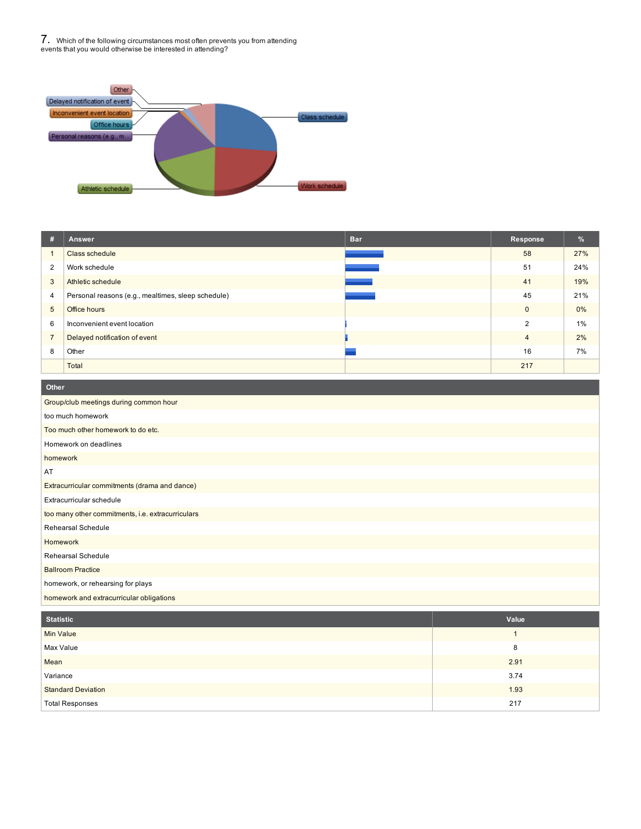7. Which of the following circumstances most often prevents you from attending events that you would otherwise be interested in attending?



| #              | Answer                                             | <b>Bar</b> | Response       | %     |
|----------------|----------------------------------------------------|------------|----------------|-------|
|                | Class schedule                                     |            | 58             | 27%   |
| $\overline{2}$ | Work schedule                                      |            | 51             | 24%   |
| 3              | Athletic schedule                                  |            | 41             | 19%   |
| 4              | Personal reasons (e.g., mealtimes, sleep schedule) |            | 45             | 21%   |
| 5              | Office hours                                       |            | $\mathbf{0}$   | $0\%$ |
| 6              | Inconvenient event location                        |            | $\mathcal{P}$  | 1%    |
| $\overline{7}$ | Delayed notification of event                      |            | $\overline{4}$ | 2%    |
| 8              | Other                                              |            | 16             | 7%    |
|                | Total                                              |            | 217            |       |

| Other                                             |
|---------------------------------------------------|
| Group/club meetings during common hour            |
| too much homework                                 |
| Too much other homework to do etc.                |
| Homework on deadlines                             |
| homework                                          |
| AT                                                |
| Extracurricular commitments (drama and dance)     |
| Extracurricular schedule                          |
| too many other commitments, i.e. extracurriculars |
| <b>Rehearsal Schedule</b>                         |
| Homework                                          |
| <b>Rehearsal Schedule</b>                         |
| <b>Ballroom Practice</b>                          |
| homework, or rehearsing for plays                 |
| homework and extracurricular obligations          |

| <b>Statistic</b>          | Value |
|---------------------------|-------|
| <b>Min Value</b>          |       |
| Max Value                 | 8     |
| Mean                      | 2.91  |
| Variance                  | 3.74  |
| <b>Standard Deviation</b> | 1.93  |
| <b>Total Responses</b>    | 217   |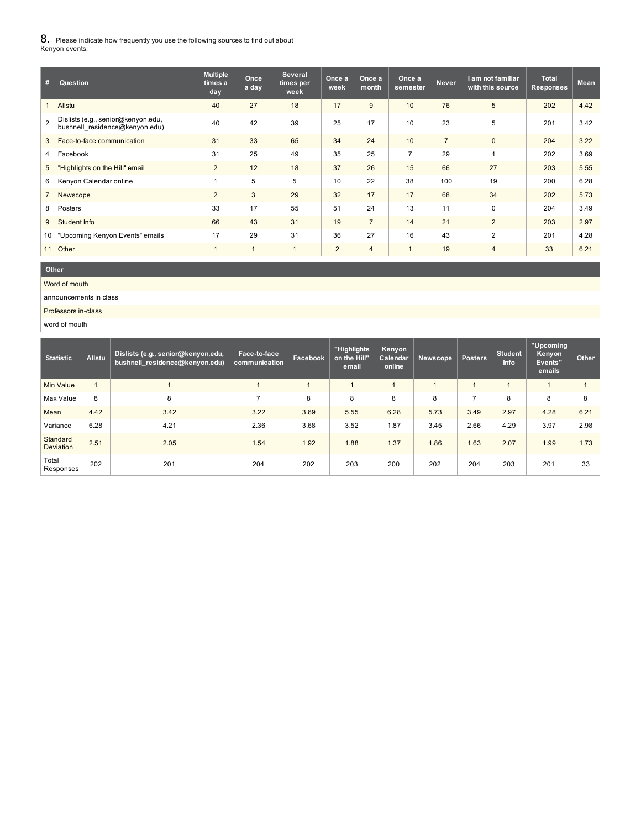$8_\cdot$  Please indicate how frequently you use the following sources to find out about<br>Kenyon events:

| #               | Question                                                             | <b>Multiple</b><br>times a<br>day | Once<br>a day | <b>Several</b><br>times per<br>week | Once a<br>week | Once a<br>month | Once a<br>semester | <b>Never</b>   | I am not familiar<br>with this source | <b>Total</b><br><b>Responses</b> | <b>Mean</b> |
|-----------------|----------------------------------------------------------------------|-----------------------------------|---------------|-------------------------------------|----------------|-----------------|--------------------|----------------|---------------------------------------|----------------------------------|-------------|
|                 | Allstu                                                               | 40                                | 27            | 18                                  | 17             | 9               | 10                 | 76             | $5\phantom{.0}$                       | 202                              | 4.42        |
| $\mathcal{P}$   | Dislists (e.g., senior@kenyon.edu,<br>bushnell residence@kenyon.edu) | 40                                | 42            | 39                                  | 25             | 17              | 10                 | 23             | 5                                     | 201                              | 3.42        |
| 3               | Face-to-face communication                                           | 31                                | 33            | 65                                  | 34             | 24              | 10                 | $\overline{7}$ | $\mathbf{0}$                          | 204                              | 3.22        |
| 4               | Facebook                                                             | 31                                | 25            | 49                                  | 35             | 25              | $\overline{7}$     | 29             |                                       | 202                              | 3.69        |
| 5               | "Highlights on the Hill" email                                       | $\overline{2}$                    | 12            | 18                                  | 37             | 26              | 15                 | 66             | 27                                    | 203                              | 5.55        |
| 6               | Kenyon Calendar online                                               |                                   | 5             | 5                                   | 10             | 22              | 38                 | 100            | 19                                    | 200                              | 6.28        |
|                 | Newscope                                                             | $\overline{2}$                    | $\mathbf{3}$  | 29                                  | 32             | 17              | 17                 | 68             | 34                                    | 202                              | 5.73        |
| 8               | Posters                                                              | 33                                | 17            | 55                                  | 51             | 24              | 13                 | 11             | $\Omega$                              | 204                              | 3.49        |
| 9               | Student Info                                                         | 66                                | 43            | 31                                  | 19             | $\overline{7}$  | 14                 | 21             | 2                                     | 203                              | 2.97        |
| 10 <sup>1</sup> | "Upcoming Kenyon Events" emails                                      | 17                                | 29            | 31                                  | 36             | 27              | 16                 | 43             | 2                                     | 201                              | 4.28        |
| 11              | Other                                                                |                                   |               |                                     | 2              | $\overline{4}$  | $\overline{1}$     | 19             | $\overline{4}$                        | 33                               | 6.21        |

**Other**

Word of mouth

announcements in class

Professors in-class

word of mouth

| <b>Statistic</b>             | <b>Allstu</b>  | Dislists (e.g., senior@kenyon.edu,<br>bushnell residence@kenyon.edu) | Face-to-face<br>communication | Facebook | "Highlights<br>on the Hill"<br>email | Kenyon<br>Calendar<br>online | Newscope | <b>Posters</b> | Student<br><b>Info</b> | "Upcoming<br>Kenyon<br>Events"<br>emails | Other |
|------------------------------|----------------|----------------------------------------------------------------------|-------------------------------|----------|--------------------------------------|------------------------------|----------|----------------|------------------------|------------------------------------------|-------|
| <b>Min Value</b>             | $\overline{ }$ |                                                                      |                               |          | $\overline{a}$                       |                              |          |                |                        |                                          |       |
| Max Value                    | 8              | 8                                                                    |                               | 8        | 8                                    | 8                            | 8        | -              | 8                      | 8                                        | 8     |
| Mean                         | 4.42           | 3.42                                                                 | 3.22                          | 3.69     | 5.55                                 | 6.28                         | 5.73     | 3.49           | 2.97                   | 4.28                                     | 6.21  |
| Variance                     | 6.28           | 4.21                                                                 | 2.36                          | 3.68     | 3.52                                 | 1.87                         | 3.45     | 2.66           | 4.29                   | 3.97                                     | 2.98  |
| Standard<br><b>Deviation</b> | 2.51           | 2.05                                                                 | 1.54                          | 1.92     | 1.88                                 | 1.37                         | 1.86     | 1.63           | 2.07                   | 1.99                                     | 1.73  |
| Total<br>Responses           | 202            | 201                                                                  | 204                           | 202      | 203                                  | 200                          | 202      | 204            | 203                    | 201                                      | 33    |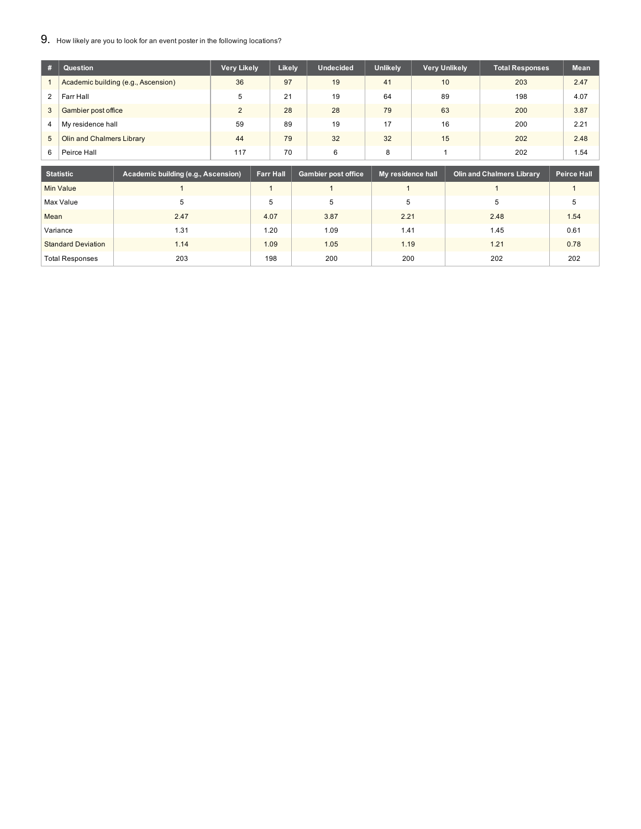9. How likely are you to look for an event poster in the following locations?

| #              | Question                            | <b>Very Likely</b> | Likely | <b>Undecided</b> | <b>Unlikely</b> | <b>Very Unlikely</b> | Total Responses | <b>Mean</b> |
|----------------|-------------------------------------|--------------------|--------|------------------|-----------------|----------------------|-----------------|-------------|
|                | Academic building (e.g., Ascension) | 36                 | 97     | 19               | 41              | 10                   | 203             | 2.47        |
| $\overline{2}$ | Farr Hall                           | 5                  | 21     | 19               | 64              | 89                   | 198             | 4.07        |
| 3              | Gambier post office                 | 2                  | 28     | 28               | 79              | 63                   | 200             | 3.87        |
| 4              | My residence hall                   | 59                 | 89     | 19               | 17              | 16                   | 200             | 2.21        |
| 5              | Olin and Chalmers Library           | 44                 | 79     | 32               | 32              | 15                   | 202             | 2.48        |
| 6              | Peirce Hall                         | 117                | 70     | 6                | 8               |                      | 202             | 1.54        |

| Statistic                 | Academic building (e.g., Ascension) | <b>Farr Hall</b> | Gambier post office | My residence hall | <b>Olin and Chalmers Library</b> | <b>Peirce Hall</b> |
|---------------------------|-------------------------------------|------------------|---------------------|-------------------|----------------------------------|--------------------|
| Min Value                 |                                     |                  |                     |                   |                                  |                    |
| Max Value                 | 5                                   | 5                | 5                   | 5                 | 5                                |                    |
| Mean                      | 2.47                                | 4.07             | 3.87                | 2.21              | 2.48                             | 1.54               |
| Variance                  | 1.31                                | 1.20             | 1.09                | 1.41              | 1.45                             | 0.61               |
| <b>Standard Deviation</b> | 1.14                                | 1.09             | 1.05                | 1.19              | 1.21                             | 0.78               |
| <b>Total Responses</b>    | 203                                 | 198              | 200                 | 200               | 202                              | 202                |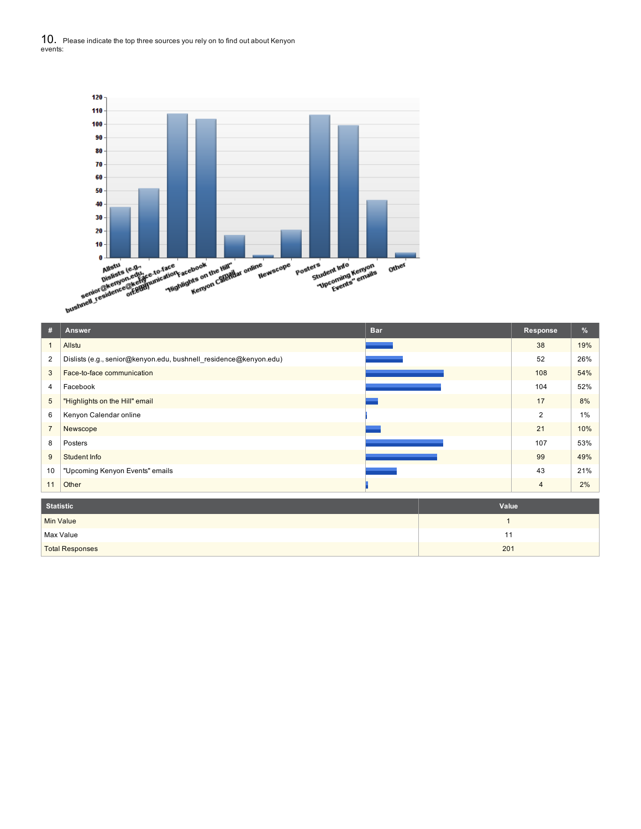10. Please indicate the top three sources you rely on to find out about Kenyon events:



| #                | Answer                                                            | <b>Bar</b>   | <b>Response</b> | %     |
|------------------|-------------------------------------------------------------------|--------------|-----------------|-------|
| $\mathbf{1}$     | Allstu                                                            |              | 38              | 19%   |
| 2                | Dislists (e.g., senior@kenyon.edu, bushnell_residence@kenyon.edu) |              | 52              | 26%   |
| 3                | Face-to-face communication                                        |              | 108             | 54%   |
| 4                | Facebook                                                          |              | 104             | 52%   |
| $5\phantom{.0}$  | "Highlights on the Hill" email                                    |              | 17              | 8%    |
| 6                | Kenyon Calendar online                                            |              | $\overline{2}$  | $1\%$ |
| $\overline{7}$   | Newscope                                                          |              | 21              | 10%   |
| 8                | Posters                                                           |              | 107             | 53%   |
| 9                | Student Info                                                      |              | 99              | 49%   |
| 10               | "Upcoming Kenyon Events" emails                                   |              | 43              | 21%   |
| 11               | Other                                                             |              | $\overline{4}$  | 2%    |
| <b>Statistic</b> |                                                                   | Value        |                 |       |
| <b>Min Value</b> |                                                                   | $\mathbf{1}$ |                 |       |
|                  | Max Value                                                         | 11           |                 |       |
|                  | <b>Total Responses</b>                                            | 201          |                 |       |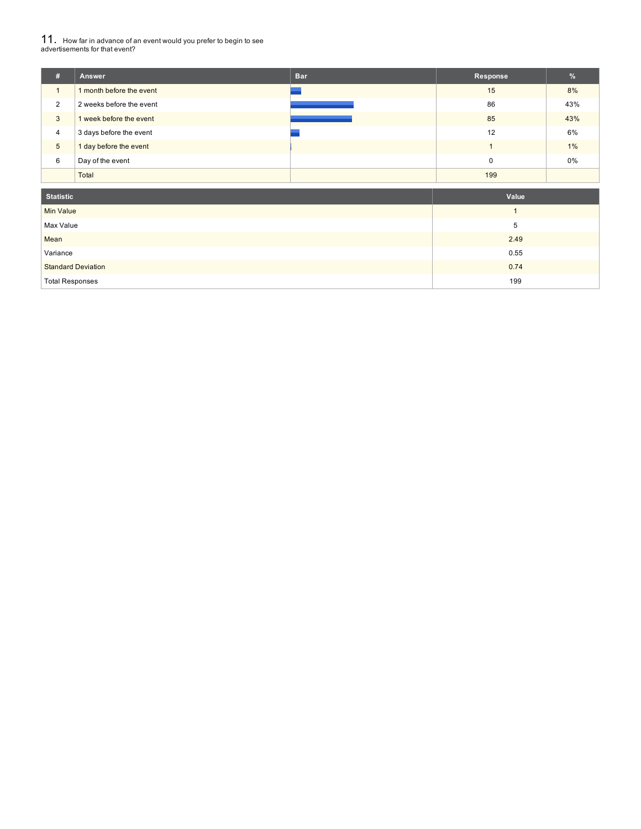# 11. How far in advance of an event would you prefer to begin to see advertisements for that event?

| # | <b>Answer</b>            | <b>Bar</b> | Response | %   |
|---|--------------------------|------------|----------|-----|
|   | 1 month before the event |            | 15       | 8%  |
| 2 | 2 weeks before the event |            | 86       | 43% |
| 3 | 1 week before the event  |            | 85       | 43% |
| 4 | 3 days before the event  |            | 12       | 6%  |
| 5 | 1 day before the event   |            |          | 1%  |
| 6 | Day of the event         |            | 0        | 0%  |
|   | Total                    |            | 199      |     |

| <b>Statistic</b>          | Value |
|---------------------------|-------|
| Min Value                 |       |
| Max Value                 | 5     |
| Mean                      | 2.49  |
| Variance                  | 0.55  |
| <b>Standard Deviation</b> | 0.74  |
| <b>Total Responses</b>    | 199   |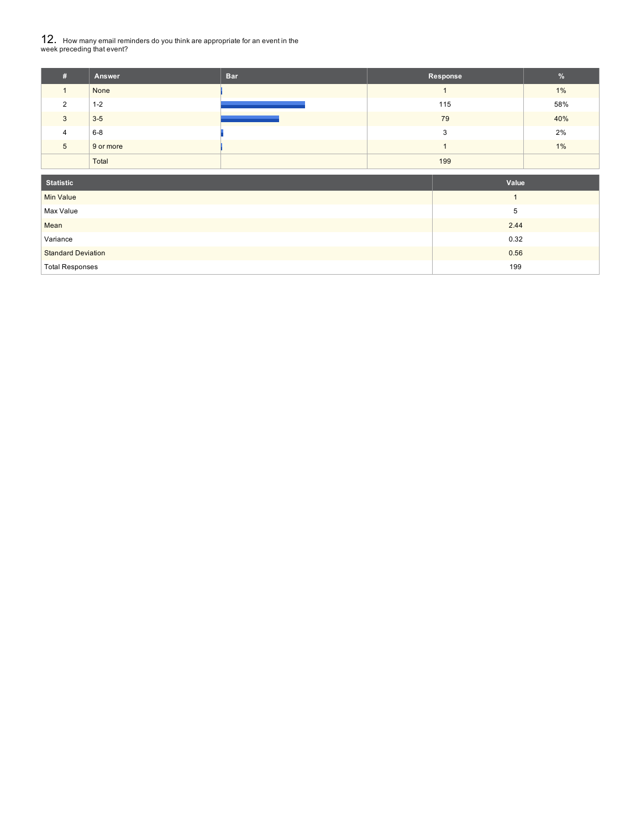# $\rm 12.~$  How many email reminders do you think are appropriate for an event in the<br>week preceding that event?

|   | Answer    | <b>Bar</b> | Response | $\frac{9}{6}$ |
|---|-----------|------------|----------|---------------|
|   | None      |            |          | 1%            |
| ◠ | $1 - 2$   |            | 115      | 58%           |
| 3 | $3 - 5$   |            | 79       | 40%           |
| 4 | $6 - 8$   |            | 3        | 2%            |
| 5 | 9 or more |            |          | 1%            |
|   | Total     |            | 199      |               |

| <b>Statistic</b>          | Value |
|---------------------------|-------|
| <b>Min Value</b>          |       |
| Max Value                 | 5     |
| Mean                      | 2.44  |
| Variance                  | 0.32  |
| <b>Standard Deviation</b> | 0.56  |
| <b>Total Responses</b>    | 199   |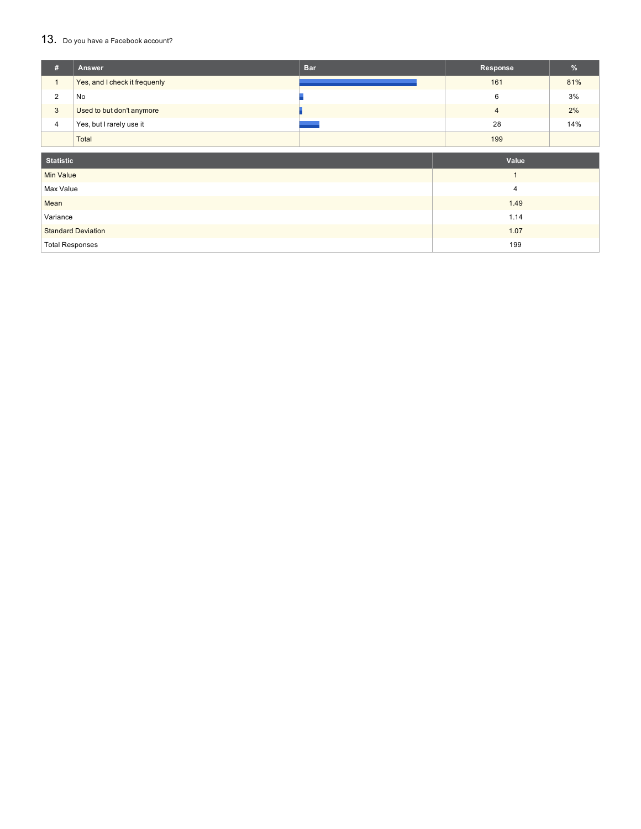#### 13. Do you have a Facebook account?

| #                      | Answer                        | <b>Bar</b> | Response       | %   |  |
|------------------------|-------------------------------|------------|----------------|-----|--|
| $\mathbf{1}$           | Yes, and I check it frequenly |            | 161            | 81% |  |
| 2                      | No                            |            | 6              | 3%  |  |
| $\mathbf{3}$           | Used to but don't anymore     |            | $\overline{4}$ | 2%  |  |
| $\overline{4}$         | Yes, but I rarely use it      |            | 28             | 14% |  |
|                        | Total                         |            | 199            |     |  |
|                        |                               |            |                |     |  |
| <b>Statistic</b>       |                               |            | Value          |     |  |
| <b>Min Value</b>       |                               |            | $\overline{1}$ |     |  |
| Max Value              |                               |            | $\overline{4}$ |     |  |
| Mean                   |                               |            | 1.49           |     |  |
| Variance               |                               |            | 1.14           |     |  |
|                        | <b>Standard Deviation</b>     |            | 1.07           |     |  |
| <b>Total Responses</b> |                               |            | 199            |     |  |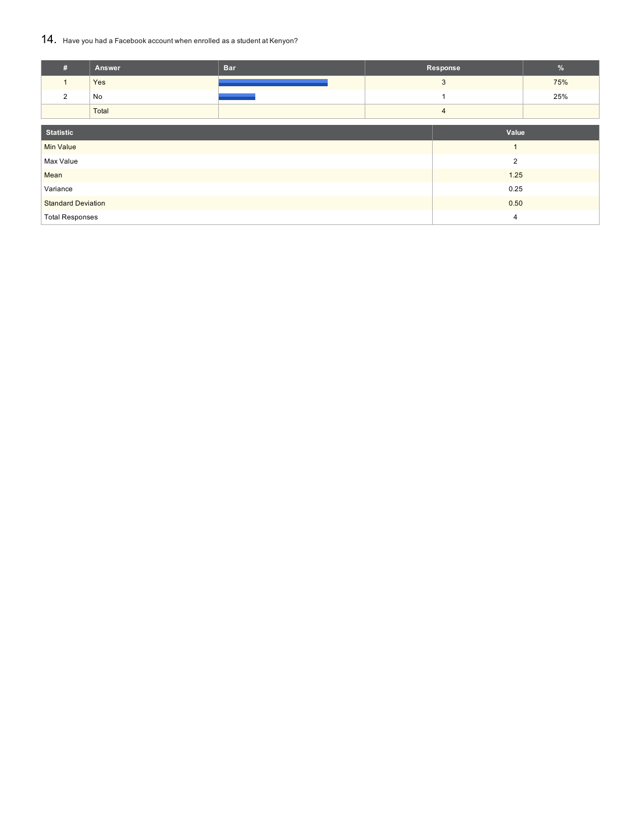## 14. Have you had <sup>a</sup> Facebook account when enrolled as <sup>a</sup> student at Kenyon?

| #                                 | Answer | <b>Bar</b> |  | Response       | %   |
|-----------------------------------|--------|------------|--|----------------|-----|
| $\mathbf{1}$                      | Yes    |            |  | 3              | 75% |
| $\overline{2}$                    | No     |            |  |                | 25% |
|                                   | Total  |            |  | $\overline{4}$ |     |
|                                   |        |            |  |                |     |
| <b>Statistic</b>                  |        |            |  | Value          |     |
| <b>Min Value</b>                  |        |            |  | $\overline{1}$ |     |
| Max Value                         |        |            |  | $\overline{2}$ |     |
| Mean                              |        |            |  | 1.25           |     |
| Variance<br>0.25                  |        |            |  |                |     |
| <b>Standard Deviation</b><br>0.50 |        |            |  |                |     |
| <b>Total Responses</b>            |        |            |  | $\overline{4}$ |     |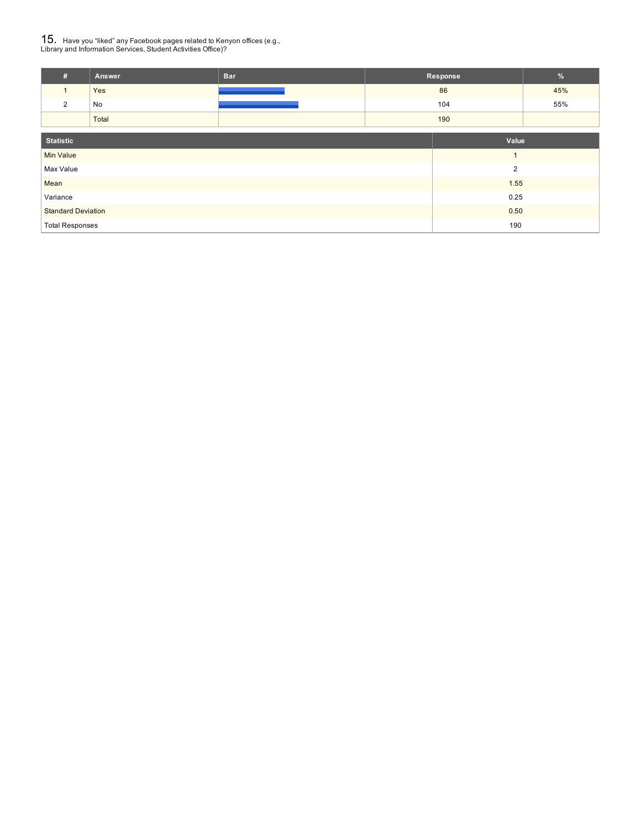# ${\bf 15}_{\rm .}$  Have you "liked" any Facebook pages related to Kenyon offices (e.g.,<br>Library and Information Services, Student Activities Office)?

| Answer | <b>Bar</b> | Response | п.  |
|--------|------------|----------|-----|
| Yes    |            | 86       | 45% |
| No     |            | 104      | 55% |
| Total  |            | 190      |     |

| <b>Statistic</b>          | Value          |
|---------------------------|----------------|
| Min Value                 |                |
| Max Value                 | $\overline{2}$ |
| Mean                      | 1.55           |
| Variance                  | 0.25           |
| <b>Standard Deviation</b> | 0.50           |
| <b>Total Responses</b>    | 190            |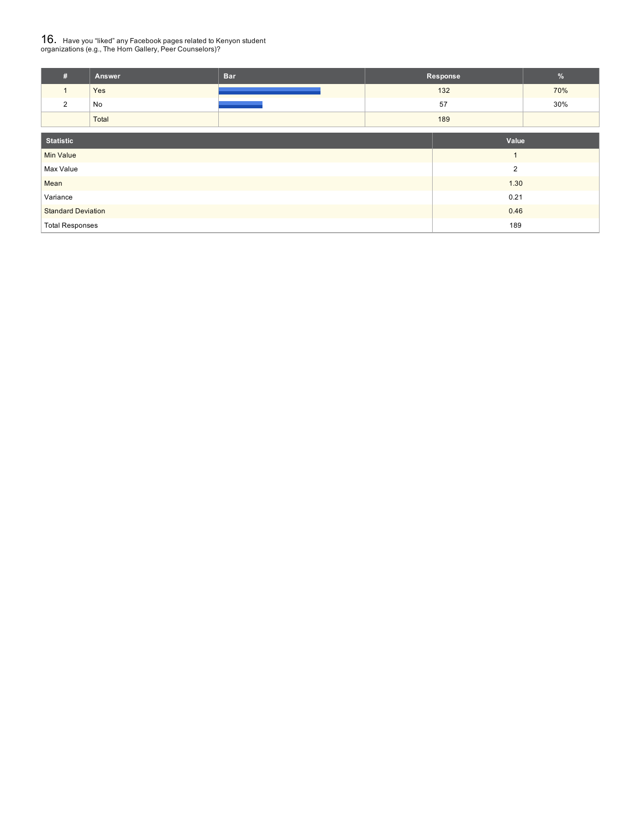# ${\bf 16}_{\rm .}$  Have you "liked" any Facebook pages related to Kenyon student<br>organizations (e.g., The Horn Gallery, Peer Counselors)?

| Answer | <b>Bar</b> | Response |     |
|--------|------------|----------|-----|
| Yes    |            | 132      | 70% |
| No     |            | 57       | 30% |
| Total  |            | 189      |     |

| <b>Statistic</b>          | Value |
|---------------------------|-------|
| <b>Min Value</b>          |       |
| Max Value                 | っ     |
| Mean                      | 1.30  |
| Variance                  | 0.21  |
| <b>Standard Deviation</b> | 0.46  |
| <b>Total Responses</b>    | 189   |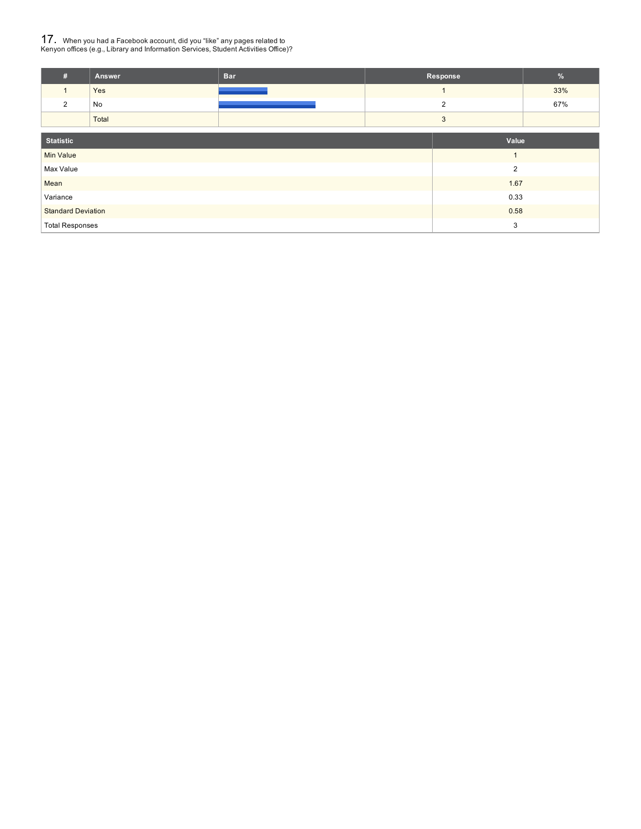# 17. When you had <sup>a</sup> Facebook account, did you "like" any pages related to Kenyon offices (e.g., Library and Information Services, Student Activities Office)?

| Answer | <b>Bar</b> | Response | $\overline{a}$ |
|--------|------------|----------|----------------|
| Yes    |            |          | 33%            |
| No     |            |          | 67%            |
| Total  |            |          |                |
|        |            |          |                |

| Statistic                 | Value                  |
|---------------------------|------------------------|
| <b>Min Value</b>          |                        |
| Max Value                 | າ                      |
| Mean                      | 1.67                   |
| Variance                  | 0.33                   |
| <b>Standard Deviation</b> | 0.58                   |
| <b>Total Responses</b>    | $\mathbf{\Omega}$<br>w |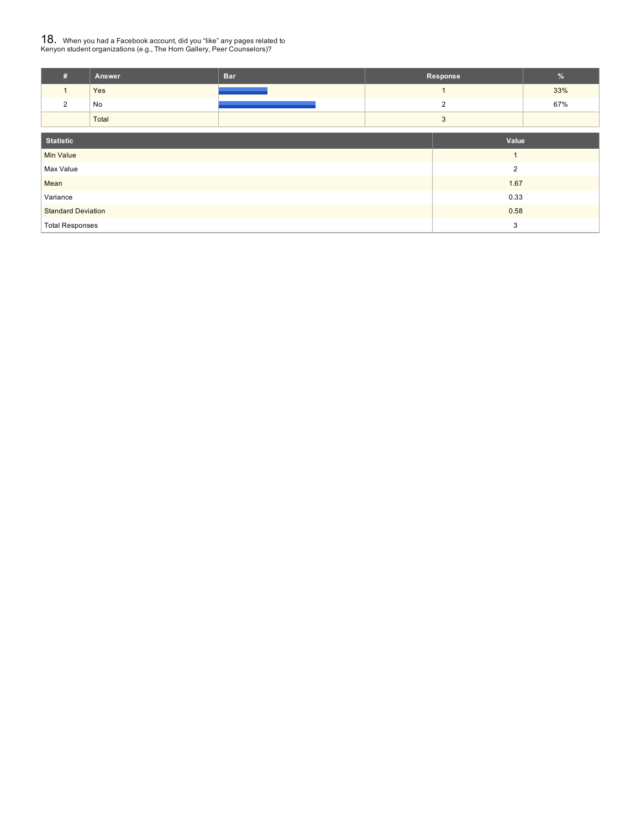# ${\bf 18.} \;\;$  When you had a Facebook account, did you "like" any pages related to<br>Kenyon student organizations (e.g., The Horn Gallery, Peer Counselors)?

| <br>Answer | <b>Bar</b> | Response | w   |
|------------|------------|----------|-----|
| Yes        |            |          | 33% |
| No         |            |          | 67% |
| Total      |            |          |     |

| Statistic                 | Value |
|---------------------------|-------|
| <b>Min Value</b>          |       |
| Max Value                 | 0     |
| Mean                      | 1.67  |
| Variance                  | 0.33  |
| <b>Standard Deviation</b> | 0.58  |
| <b>Total Responses</b>    | 3     |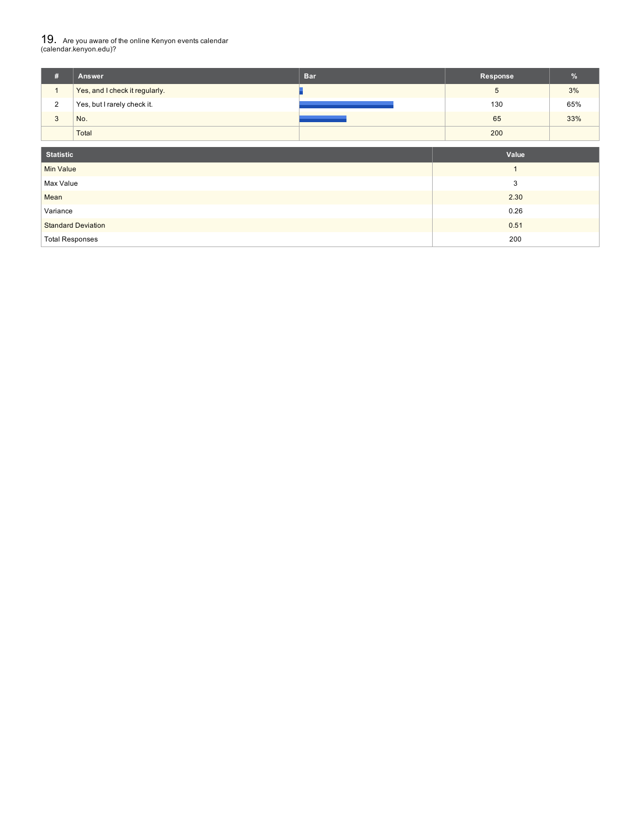# 19. Are you aware of the online Kenyon events calendar (calendar.kenyon.edu)?

| #                      | Answer                         | <b>Bar</b> | <b>Response</b> | %   |
|------------------------|--------------------------------|------------|-----------------|-----|
| $\mathbf{1}$           | Yes, and I check it regularly. |            | 5               | 3%  |
| $\overline{2}$         | Yes, but I rarely check it.    |            | 130             | 65% |
| $\mathbf{3}$           | No.                            |            | 65              | 33% |
|                        | Total                          |            | 200             |     |
| <b>Statistic</b>       |                                |            | Value           |     |
| <b>Min Value</b>       |                                |            | $\mathbf{1}$    |     |
| Max Value              |                                |            | 3               |     |
| Mean                   |                                |            | 2.30            |     |
| Variance               |                                |            | 0.26            |     |
|                        | <b>Standard Deviation</b>      |            | 0.51            |     |
| <b>Total Responses</b> |                                |            | 200             |     |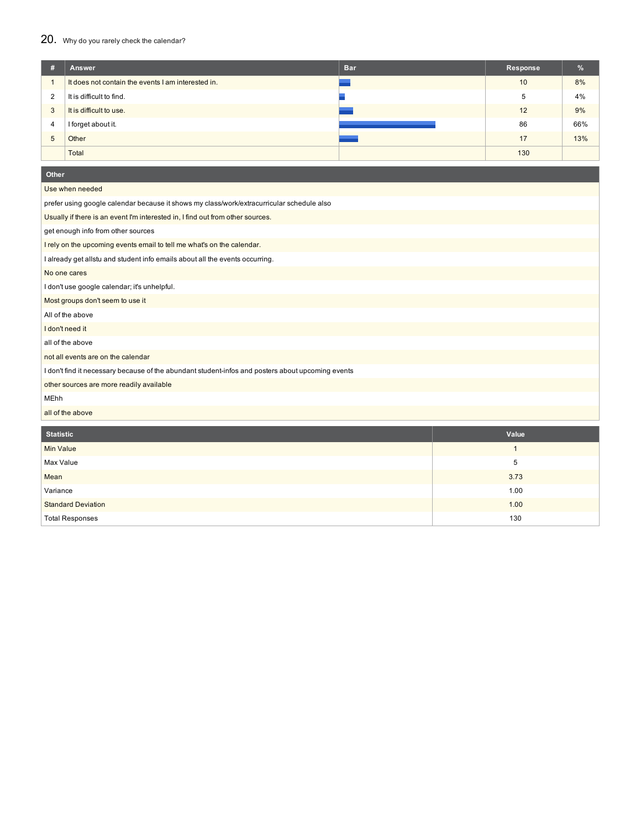### 20. Why do you rarely check the calendar?

| #              | Answer                                             | <b>Bar</b> | Response | %   |
|----------------|----------------------------------------------------|------------|----------|-----|
|                | It does not contain the events I am interested in. |            | 10       | 8%  |
| $\overline{2}$ | It is difficult to find.                           |            | 5        | 4%  |
| 3              | It is difficult to use.                            |            | 12       | 9%  |
| 4              | I forget about it.                                 |            | 86       | 66% |
| 5              | Other                                              |            | 17       | 13% |
|                | Total                                              |            | 130      |     |

| Other                                                                                             |                |
|---------------------------------------------------------------------------------------------------|----------------|
| Use when needed                                                                                   |                |
| prefer using google calendar because it shows my class/work/extracurricular schedule also         |                |
| Usually if there is an event I'm interested in, I find out from other sources.                    |                |
| get enough info from other sources                                                                |                |
| I rely on the upcoming events email to tell me what's on the calendar.                            |                |
| I already get allstu and student info emails about all the events occurring.                      |                |
| No one cares                                                                                      |                |
| I don't use google calendar; it's unhelpful.                                                      |                |
| Most groups don't seem to use it                                                                  |                |
| All of the above                                                                                  |                |
| I don't need it                                                                                   |                |
| all of the above                                                                                  |                |
| not all events are on the calendar                                                                |                |
| I don't find it necessary because of the abundant student-infos and posters about upcoming events |                |
| other sources are more readily available                                                          |                |
| <b>MEhh</b>                                                                                       |                |
| all of the above                                                                                  |                |
| <b>Statistic</b>                                                                                  | Value          |
| <b>Min Value</b>                                                                                  | $\overline{1}$ |
| Max Value                                                                                         | 5              |
| Mean                                                                                              | 3.73           |
| Variance                                                                                          | 1.00           |
| <b>Standard Deviation</b>                                                                         | 1.00           |
| <b>Total Responses</b>                                                                            | 130            |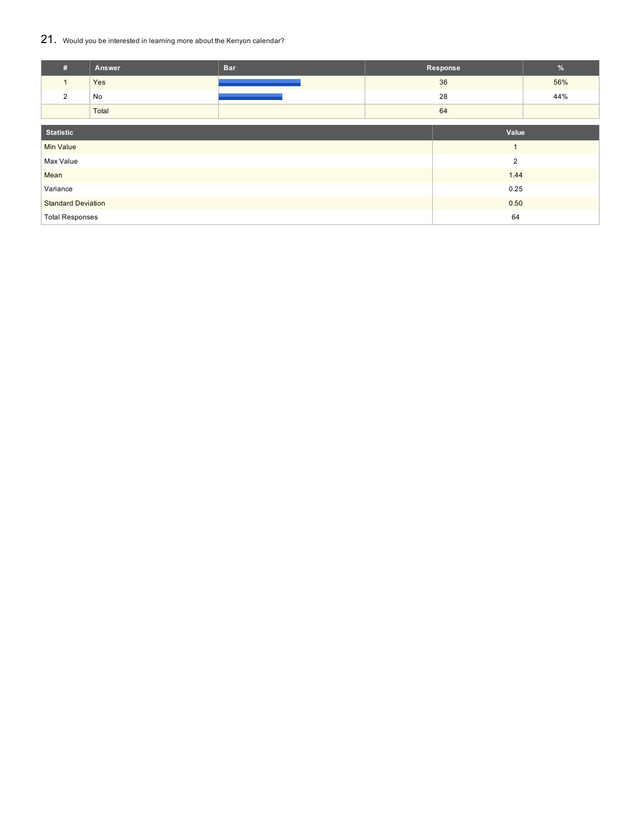## 21. Would you be interested in learning more about the Kenyon calendar?

| #                         | Answer | <b>Bar</b> |  | Response       | $\frac{9}{6}$ |
|---------------------------|--------|------------|--|----------------|---------------|
| $\mathbf{1}$              | Yes    |            |  | 36             | 56%           |
| 2                         | No     |            |  | 28             | 44%           |
|                           | Total  |            |  | 64             |               |
|                           |        |            |  |                |               |
| <b>Statistic</b>          |        |            |  | Value          |               |
| <b>Min Value</b>          |        |            |  | $\mathbf{1}$   |               |
| Max Value                 |        |            |  | $\overline{2}$ |               |
| Mean                      |        |            |  | 1.44           |               |
| Variance                  |        | 0.25       |  |                |               |
| <b>Standard Deviation</b> |        |            |  | 0.50           |               |
| <b>Total Responses</b>    |        |            |  | 64             |               |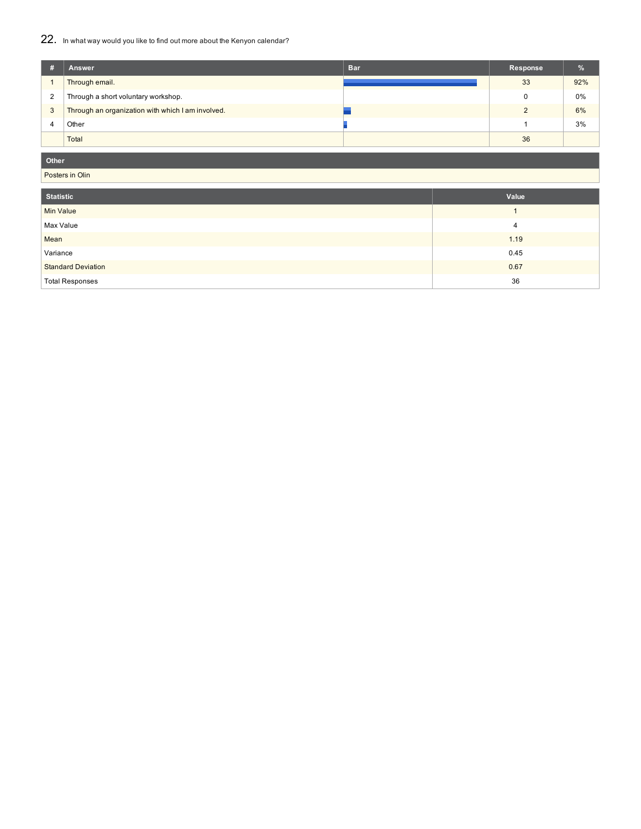## 22. In what way would you like to find out more about the Kenyon calendar?

| # | Answer                                            | <b>Bar</b> | Response | $\frac{9}{6}$ |
|---|---------------------------------------------------|------------|----------|---------------|
|   | Through email.                                    |            | 33       | 92%           |
| 2 | Through a short voluntary workshop.               |            |          | $0\%$         |
| 3 | Through an organization with which I am involved. |            |          | 6%            |
|   | Other                                             |            |          | 3%            |
|   | Total                                             |            | 36       |               |

### **Other**

Posters in Olin

| <b>Statistic</b>          | Value |
|---------------------------|-------|
| <b>Min Value</b>          |       |
| Max Value                 | 4     |
| Mean                      | 1.19  |
| Variance                  | 0.45  |
| <b>Standard Deviation</b> | 0.67  |
| <b>Total Responses</b>    | 36    |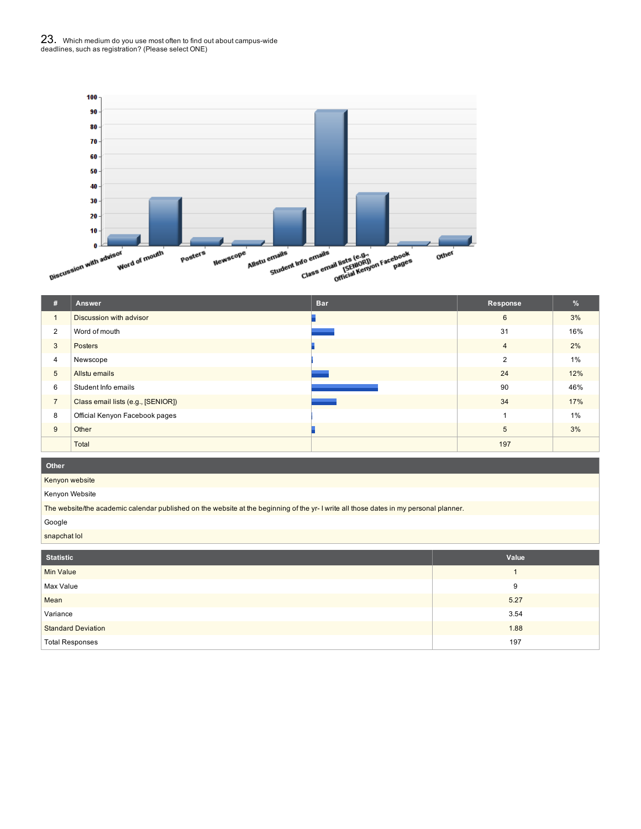

| #              | Answer                             | <b>Bar</b> | Response       | %     |
|----------------|------------------------------------|------------|----------------|-------|
|                | Discussion with advisor            |            | 6              | 3%    |
| $\overline{2}$ | Word of mouth                      |            | 31             | 16%   |
| 3              | <b>Posters</b>                     |            | $\overline{4}$ | 2%    |
| 4              | Newscope                           |            | $\overline{2}$ | $1\%$ |
| 5              | Allstu emails                      |            | 24             | 12%   |
| 6              | Student Info emails                |            | 90             | 46%   |
| $\overline{7}$ | Class email lists (e.g., [SENIOR]) |            | 34             | 17%   |
| 8              | Official Kenyon Facebook pages     |            |                | $1\%$ |
| 9              | Other                              |            | 5              | 3%    |
|                | Total                              |            | 197            |       |

#### **Other**

Kenyon website

Kenyon Website

The website/the academic calendar published on the website at the beginning of the yr- I write all those dates in my personal planner.

#### Google

snapchat lol

| <b>Statistic</b>          | Value |
|---------------------------|-------|
| <b>Min Value</b>          |       |
| Max Value                 | 9     |
| Mean                      | 5.27  |
| Variance                  | 3.54  |
| <b>Standard Deviation</b> | 1.88  |
| <b>Total Responses</b>    | 197   |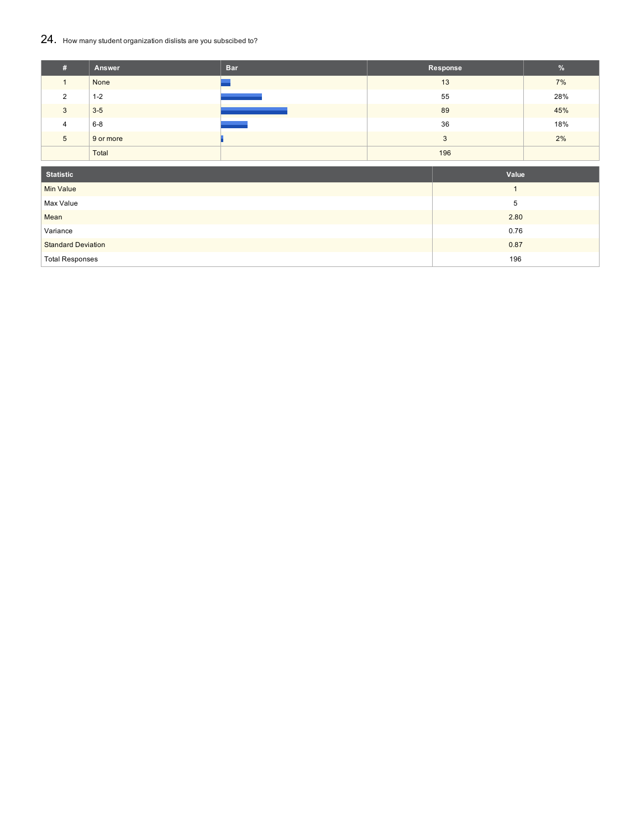## 24. How many student organization dislists are you subscibed to?

| #             | Answer    | <b>Bar</b> | Response | $\frac{9}{6}$ |
|---------------|-----------|------------|----------|---------------|
|               | None      |            | 13       | 7%            |
| $\mathcal{P}$ | $1 - 2$   |            | 55       | 28%           |
| 3             | $3-5$     |            | 89       | 45%           |
| 4             | $6-8$     |            | 36       | 18%           |
| 5             | 9 or more |            | 3        | 2%            |
|               | Total     |            | 196      |               |
| _             |           |            |          |               |

| <b>Statistic</b>          | Value |
|---------------------------|-------|
| <b>Min Value</b>          |       |
| Max Value                 | 5     |
| Mean                      | 2.80  |
| Variance                  | 0.76  |
| <b>Standard Deviation</b> | 0.87  |
| <b>Total Responses</b>    | 196   |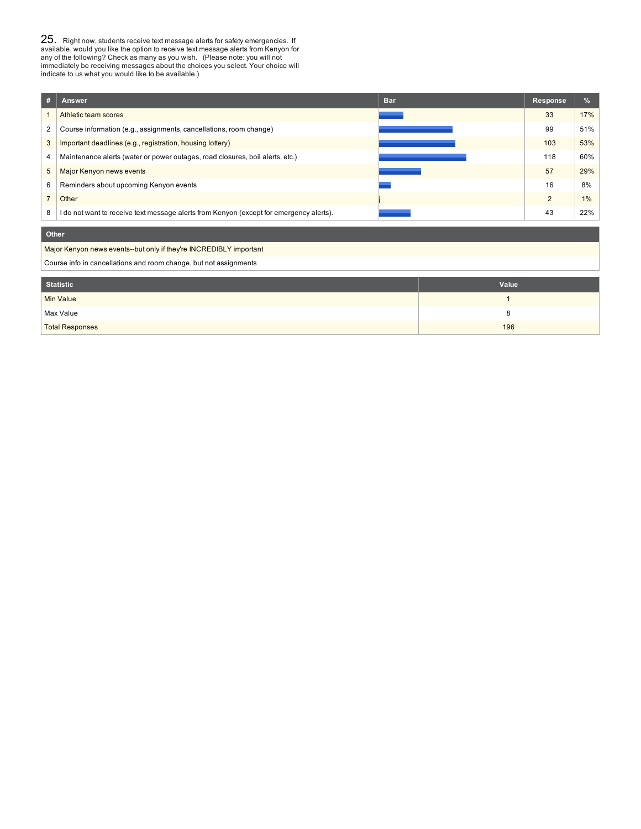**25.** Right now, students receive text message alerts for safety emergencies. If available, would you like the option to receive text message alerts from Kenyon for any of the following? Check as many as you wish. (Please

| #              | Answer                                                                                  | <b>Bar</b>   | <b>Response</b> | %   |  |
|----------------|-----------------------------------------------------------------------------------------|--------------|-----------------|-----|--|
|                | Athletic team scores                                                                    |              | 33              | 17% |  |
| 2              | Course information (e.g., assignments, cancellations, room change)                      |              | 99              | 51% |  |
| 3              | Important deadlines (e.g., registration, housing lottery)                               |              | 103             | 53% |  |
| 4              | Maintenance alerts (water or power outages, road closures, boil alerts, etc.)           |              | 118             | 60% |  |
| 5              | Major Kenyon news events                                                                |              | 57              | 29% |  |
| 6              | Reminders about upcoming Kenyon events                                                  |              | 16              | 8%  |  |
| $\overline{7}$ | Other                                                                                   |              | $\overline{2}$  | 1%  |  |
| 8              | I do not want to receive text message alerts from Kenyon (except for emergency alerts). |              | 43              | 22% |  |
|                | Other                                                                                   |              |                 |     |  |
|                | Major Kenyon news events--but only if they're INCREDIBLY important                      |              |                 |     |  |
|                | Course info in cancellations and room change, but not assignments                       |              |                 |     |  |
|                | <b>Statistic</b>                                                                        | Value        |                 |     |  |
|                | <b>Min Value</b>                                                                        | $\mathbf{1}$ |                 |     |  |
|                | Max Value                                                                               | 8            |                 |     |  |
|                | <b>Total Responses</b>                                                                  | 196          |                 |     |  |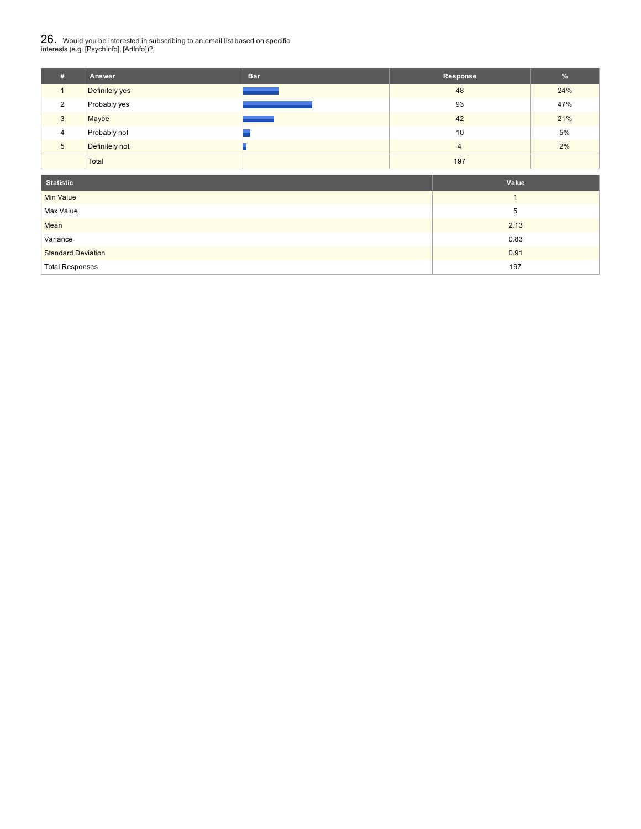# $26_\cdot$  Would you be interested in subscribing to an email list based on specific<br>interests (e.g. [PsychInfo], [ArtInfo])?

| #              | Answer         | <b>Bar</b> | Response | $\frac{9}{6}$ |
|----------------|----------------|------------|----------|---------------|
|                | Definitely yes |            | 48       | 24%           |
| 2              | Probably yes   |            | 93       | 47%           |
| 3              | Maybe          |            | 42       | 21%           |
| $\overline{4}$ | Probably not   |            | 10       | 5%            |
| 5              | Definitely not |            | 4        | 2%            |
|                | Total          |            | 197      |               |

| <b>Statistic</b>          | Value |
|---------------------------|-------|
| <b>Min Value</b>          |       |
| Max Value                 | 5     |
| Mean                      | 2.13  |
| Variance                  | 0.83  |
| <b>Standard Deviation</b> | 0.91  |
| <b>Total Responses</b>    | 197   |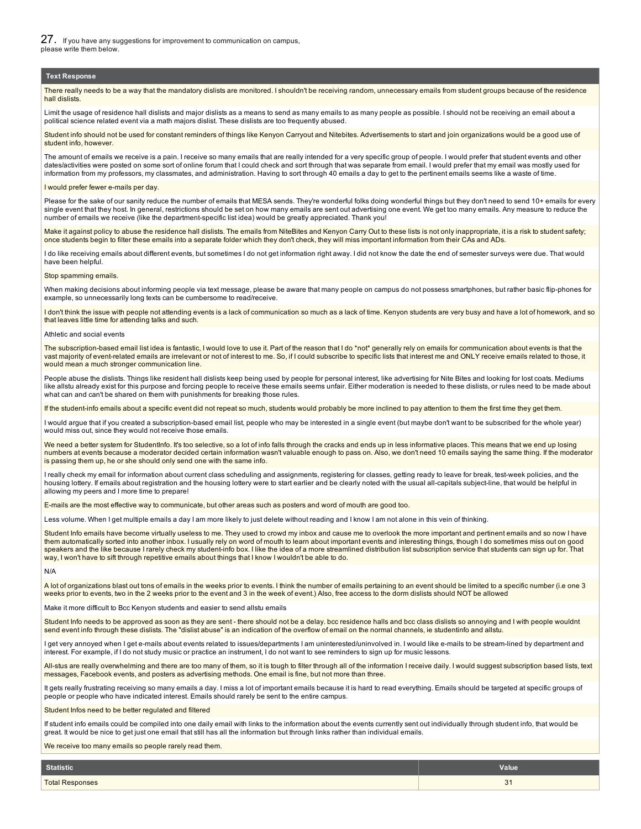#### **Text Response**

There really needs to be a way that the mandatory dislists are monitored. I shouldn't be receiving random, unnecessary emails from student groups because of the residence hall dislists

Limit the usage of residence hall dislists and major dislists as a means to send as many emails to as many people as possible. I should not be receiving an email about a political science related event via a math majors dislist. These dislists are too frequently abused.

Student info should not be used for constant reminders of things like Kenyon Carryout and Nitebites. Advertisements to start and join organizations would be a good use of student info, however.

The amount of emails we receive is a pain. I receive so many emails that are really intended for a very specific group of people. I would prefer that student events and other dates/activities were posted on some sort of online forum that I could check and sort through that was separate from email. I would prefer that my email was mostly used for information from my professors, my classmates, and administration. Having to sort through 40 emails a day to get to the pertinent emails seems like a waste of time.

#### I would prefer fewer e-mails per day.

Please for the sake of our sanity reduce the number of emails that MESA sends. They're wonderful folks doing wonderful things but they don't need to send 10+ emails for every single event that they host. In general, restrictions should be set on how many emails are sent out advertising one event. We get too many emails. Any measure to reduce the number of emails we receive (like the department-specific list idea) would be greatly appreciated. Thank you!

Make it against policy to abuse the residence hall dislists. The emails from NiteBites and Kenyon Carry Out to these lists is not only inappropriate, it is a risk to student safety; once students begin to filter these emails into a separate folder which they don't check, they will miss important information from their CAs and ADs.

I do like receiving emails about different events, but sometimes I do not get information right away. I did not know the date the end of semester surveys were due. That would have been helpful.

#### Stop spamming emails.

When making decisions about informing people via text message, please be aware that many people on campus do not possess smartphones, but rather basic flip-phones for example, so unnecessarily long texts can be cumbersome to read/receive.

I don't think the issue with people not attending events is a lack of communication so much as a lack of time. Kenyon students are very busy and have a lot of homework, and so that leaves little time for attending talks and such.

#### Athletic and social events

The subscription-based email list idea is fantastic, I would love to use it. Part of the reason that I do \*not\* generally rely on emails for communication about events is that the vast majority of event-related emails are irrelevant or not of interest to me. So, if I could subscribe to specific lists that interest me and ONLY receive emails related to those, it would mean a much stronger communication line.

People abuse the dislists. Things like resident hall dislists keep being used by people for personal interest, like advertising for Nite Bites and looking for lost coats. Mediums like allstu already exist for this purpose and forcing people to receive these emails seems unfair. Either moderation is needed to these dislists, or rules need to be made about what can and can't be shared on them with punishments for breaking those rules.

If the student-info emails about a specific event did not repeat so much, students would probably be more inclined to pay attention to them the first time they get them.

I would arque that if you created a subscription-based email list, people who may be interested in a single event (but maybe don't want to be subscribed for the whole year) would miss out, since they would not receive those emails.

We need a better system for StudentInfo. It's too selective, so a lot of info falls through the cracks and ends up in less informative places. This means that we end up losing numbers at events because a moderator decided certain information wasn't valuable enough to pass on. Also, we don't need 10 emails saying the same thing. If the moderator is passing them up, he or she should only send one with the same info.

I really check my email for information about current class scheduling and assignments, registering for classes, getting ready to leave for break, test-week policies, and the housing lottery. If emails about registration and the housing lottery were to start earlier and be clearly noted with the usual all-capitals subject-line, that would be helpful in allowing my peers and I more time to prepare!

E-mails are the most effective way to communicate, but other areas such as posters and word of mouth are good too.

Less volume. When I get multiple emails a day I am more likely to just delete without reading and I know I am not alone in this vein of thinking.

Student Info emails have become virtually useless to me. They used to crowd my inbox and cause me to overlook the more important and pertinent emails and so now I have them automatically sorted into another inbox. I usually rely on word of mouth to learn about important events and interesting things, though I do sometimes miss out on good speakers and the like because I rarely check my student-info box. I like the idea of a more streamlined distribution list subscription service that students can sign up for. That way, I won't have to sift through repetitive emails about things that I know I wouldn't be able to do.

N/A

A lot of organizations blast out tons of emails in the weeks prior to events. I think the number of emails pertaining to an event should be limited to a specific number (i.e one 3 weeks prior to events, two in the 2 weeks prior to the event and 3 in the week of event.) Also, free access to the dorm dislists should NOT be allowed

Make it more difficult to Bcc Kenyon students and easier to send allstu emails

Student Info needs to be approved as soon as they are sent - there should not be a delay. bcc residence halls and bcc class dislists so annoying and I with people wouldnt send event info through these dislists. The "dislist abuse" is an indication of the overflow of email on the normal channels, ie studentinfo and allstu

I get very annoyed when I get e-mails about events related to issues/departments I am uninterested/uninvolved in. I would like e-mails to be stream-lined by department and interest. For example, if I do not study music or practice an instrument, I do not want to see reminders to sign up for music lessons.

All-stus are really overwhelming and there are too many of them, so it is tough to filter through all of the information I receive daily. I would suggest subscription based lists, text messages, Facebook events, and posters as advertising methods. One email is fine, but not more than three.

It gets really frustrating receiving so many emails a day. I miss a lot of important emails because it is hard to read everything. Emails should be targeted at specific groups of people or people who have indicated interest. Emails should rarely be sent to the entire campus.

Student Infos need to be better regulated and filtered

If student info emails could be compiled into one daily email with links to the information about the events currently sent out individually through student info, that would be great. It would be nice to get just one email that still has all the information but through links rather than individual emails.

We receive too many emails so people rarely read them.

| <b>Statistic</b>       | <b>Value</b> |
|------------------------|--------------|
| <b>Total Responses</b> | $\sim$<br>υı |